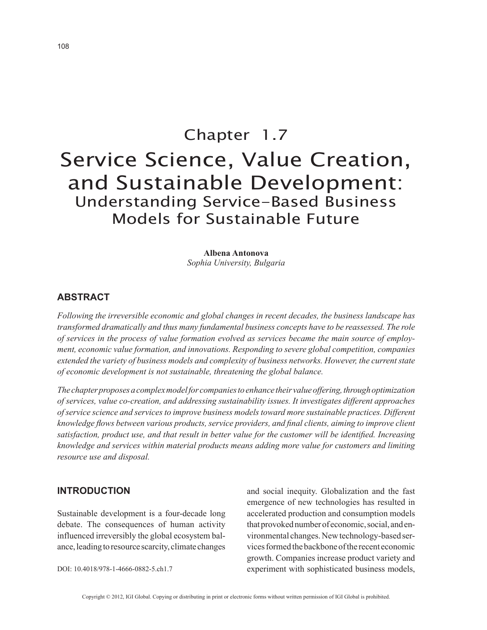# Chapter 1.7 Service Science, Value Creation, and Sustainable Development: Understanding Service-Based Business Models for Sustainable Future

**Albena Antonova** *Sophia University, Bulgaria*

## **ABSTRACT**

*Following the irreversible economic and global changes in recent decades, the business landscape has transformed dramatically and thus many fundamental business concepts have to be reassessed. The role of services in the process of value formation evolved as services became the main source of employment, economic value formation, and innovations. Responding to severe global competition, companies extended the variety of business models and complexity of business networks. However, the current state of economic development is not sustainable, threatening the global balance.*

*The chapter proposes a complex model for companies to enhance their value offering, through optimization of services, value co-creation, and addressing sustainability issues. It investigates different approaches of service science and services to improve business models toward more sustainable practices. Different knowledge flows between various products, service providers, and final clients, aiming to improve client satisfaction, product use, and that result in better value for the customer will be identified. Increasing knowledge and services within material products means adding more value for customers and limiting resource use and disposal.*

### **INTRODUCTION**

Sustainable development is a four-decade long debate. The consequences of human activity influenced irreversibly the global ecosystem balance, leading to resource scarcity, climate changes and social inequity. Globalization and the fast emergence of new technologies has resulted in accelerated production and consumption models that provoked number of economic, social, and environmental changes. New technology-based services formed the backbone of the recent economic growth. Companies increase product variety and experiment with sophisticated business models,

DOI: 10.4018/978-1-4666-0882-5.ch1.7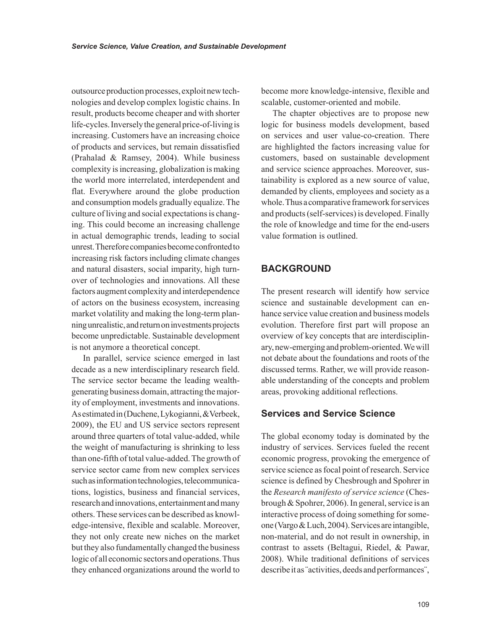outsource production processes, exploit new technologies and develop complex logistic chains. In result, products become cheaper and with shorter life-cycles. Inversely the general price-of-living is increasing. Customers have an increasing choice of products and services, but remain dissatisfied (Prahalad & Ramsey, 2004). While business complexity is increasing, globalization is making the world more interrelated, interdependent and flat. Everywhere around the globe production and consumption models gradually equalize. The culture of living and social expectations is changing. This could become an increasing challenge in actual demographic trends, leading to social unrest. Therefore companies become confronted to increasing risk factors including climate changes and natural disasters, social imparity, high turnover of technologies and innovations. All these factors augment complexity and interdependence of actors on the business ecosystem, increasing market volatility and making the long-term planning unrealistic, and return on investments projects become unpredictable. Sustainable development is not anymore a theoretical concept.

In parallel, service science emerged in last decade as a new interdisciplinary research field. The service sector became the leading wealthgenerating business domain, attracting the majority of employment, investments and innovations. As estimated in (Duchene, Lykogianni, &Verbeek, 2009), the EU and US service sectors represent around three quarters of total value-added, while the weight of manufacturing is shrinking to less than one-fifth of total value-added. The growth of service sector came from new complex services such as information technologies, telecommunications, logistics, business and financial services, research and innovations, entertainment and many others. These services can be described as knowledge-intensive, flexible and scalable. Moreover, they not only create new niches on the market but they also fundamentally changed the business logic of all economic sectors and operations. Thus they enhanced organizations around the world to

become more knowledge-intensive, flexible and scalable, customer-oriented and mobile.

The chapter objectives are to propose new logic for business models development, based on services and user value-co-creation. There are highlighted the factors increasing value for customers, based on sustainable development and service science approaches. Moreover, sustainability is explored as a new source of value, demanded by clients, employees and society as a whole. Thus a comparative framework for services and products (self-services) is developed. Finally the role of knowledge and time for the end-users value formation is outlined.

# **BACKGROUND**

The present research will identify how service science and sustainable development can enhance service value creation and business models evolution. Therefore first part will propose an overview of key concepts that are interdisciplinary, new-emerging and problem-oriented. We will not debate about the foundations and roots of the discussed terms. Rather, we will provide reasonable understanding of the concepts and problem areas, provoking additional reflections.

# **Services and Service Science**

The global economy today is dominated by the industry of services. Services fueled the recent economic progress, provoking the emergence of service science as focal point of research. Service science is defined by Chesbrough and Spohrer in the *Research manifesto of service science* (Chesbrough & Spohrer, 2006). In general, service is an interactive process of doing something for someone (Vargo & Luch, 2004). Services are intangible, non-material, and do not result in ownership, in contrast to assets (Beltagui, Riedel, & Pawar, 2008). While traditional definitions of services describe it as ¨activities, deeds and performances¨,